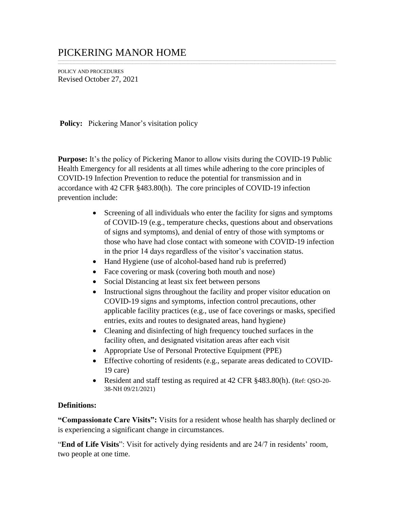## PICKERING MANOR HOME

POLICY AND PROCEDURES Revised October 27, 2021

**Policy:** Pickering Manor's visitation policy

**Purpose:** It's the policy of Pickering Manor to allow visits during the COVID-19 Public Health Emergency for all residents at all times while adhering to the core principles of COVID-19 Infection Prevention to reduce the potential for transmission and in accordance with 42 CFR §483.80(h). The core principles of COVID-19 infection prevention include:

\_\_\_\_\_\_\_\_\_\_\_\_\_\_\_\_\_\_\_\_\_\_\_\_\_\_\_\_\_\_\_\_\_\_\_\_\_\_\_\_\_\_\_\_\_\_\_\_\_\_\_\_\_\_\_\_\_\_\_\_\_\_\_\_\_\_\_\_\_\_\_\_\_\_\_\_\_\_\_\_\_\_\_\_\_\_\_\_\_\_\_\_\_\_\_\_\_\_\_\_\_\_\_\_\_\_\_\_\_\_\_\_\_\_\_\_\_\_\_\_\_\_\_\_\_\_\_\_\_\_\_\_\_\_\_\_\_\_\_\_\_\_\_\_\_\_\_\_\_\_\_\_\_\_\_\_\_\_\_\_\_\_\_\_\_\_\_\_\_\_\_\_\_\_\_\_\_\_\_\_\_\_\_\_\_\_\_\_\_\_\_\_\_\_\_\_\_\_\_\_\_\_\_\_\_\_\_\_\_\_\_\_\_\_\_\_ \_\_\_\_\_\_\_\_\_\_\_\_\_\_\_\_\_\_\_\_\_\_\_\_\_\_\_\_\_\_\_\_\_\_\_\_\_\_\_\_\_\_\_\_\_\_\_\_\_\_\_\_\_\_\_\_\_\_\_\_\_\_\_\_\_\_\_\_\_\_\_\_\_\_\_\_\_\_\_\_\_\_\_\_\_\_\_\_\_\_\_\_\_\_\_\_\_\_\_\_\_\_\_\_\_\_\_\_\_\_\_\_\_\_\_\_\_\_\_\_\_\_\_\_\_\_\_\_\_\_\_\_\_\_\_\_\_\_\_\_\_\_\_\_\_\_\_\_\_\_\_\_\_\_\_\_\_\_\_\_\_\_\_\_\_\_\_\_\_\_\_\_\_\_\_\_\_\_\_\_\_\_\_\_\_\_\_\_\_\_\_\_\_\_\_\_\_\_\_\_\_\_\_\_\_\_\_\_\_\_\_\_\_\_\_\_

- Screening of all individuals who enter the facility for signs and symptoms of COVID-19 (e.g., temperature checks, questions about and observations of signs and symptoms), and denial of entry of those with symptoms or those who have had close contact with someone with COVID-19 infection in the prior 14 days regardless of the visitor's vaccination status.
- Hand Hygiene (use of alcohol-based hand rub is preferred)
- Face covering or mask (covering both mouth and nose)
- Social Distancing at least six feet between persons
- Instructional signs throughout the facility and proper visitor education on COVID-19 signs and symptoms, infection control precautions, other applicable facility practices (e.g., use of face coverings or masks, specified entries, exits and routes to designated areas, hand hygiene)
- Cleaning and disinfecting of high frequency touched surfaces in the facility often, and designated visitation areas after each visit
- Appropriate Use of Personal Protective Equipment (PPE)
- Effective cohorting of residents (e.g., separate areas dedicated to COVID-19 care)
- Resident and staff testing as required at 42 CFR §483.80(h). (Ref: QSO-20-38-NH 09/21/2021)

## **Definitions:**

**"Compassionate Care Visits":** Visits for a resident whose health has sharply declined or is experiencing a significant change in circumstances.

"**End of Life Visits**": Visit for actively dying residents and are 24/7 in residents' room, two people at one time.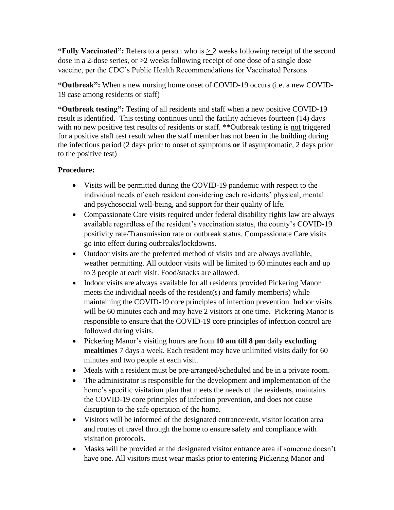**"Fully Vaccinated":** Refers to a person who is  $\geq 2$  weeks following receipt of the second dose in a 2-dose series, or >2 weeks following receipt of one dose of a single dose vaccine, per the CDC's Public Health Recommendations for Vaccinated Persons

**"Outbreak":** When a new nursing home onset of COVID-19 occurs (i.e. a new COVID-19 case among residents or staff)

**"Outbreak testing":** Testing of all residents and staff when a new positive COVID-19 result is identified. This testing continues until the facility achieves fourteen (14) days with no new positive test results of residents or staff. \*\*Outbreak testing is not triggered for a positive staff test result when the staff member has not been in the building during the infectious period (2 days prior to onset of symptoms **or** if asymptomatic, 2 days prior to the positive test)

## **Procedure:**

- Visits will be permitted during the COVID-19 pandemic with respect to the individual needs of each resident considering each residents' physical, mental and psychosocial well-being, and support for their quality of life.
- Compassionate Care visits required under federal disability rights law are always available regardless of the resident's vaccination status, the county's COVID-19 positivity rate/Transmission rate or outbreak status. Compassionate Care visits go into effect during outbreaks/lockdowns.
- Outdoor visits are the preferred method of visits and are always available, weather permitting. All outdoor visits will be limited to 60 minutes each and up to 3 people at each visit. Food/snacks are allowed.
- Indoor visits are always available for all residents provided Pickering Manor meets the individual needs of the resident(s) and family member(s) while maintaining the COVID-19 core principles of infection prevention. Indoor visits will be 60 minutes each and may have 2 visitors at one time. Pickering Manor is responsible to ensure that the COVID-19 core principles of infection control are followed during visits.
- Pickering Manor's visiting hours are from **10 am till 8 pm** daily **excluding mealtimes** 7 days a week. Each resident may have unlimited visits daily for 60 minutes and two people at each visit.
- Meals with a resident must be pre-arranged/scheduled and be in a private room.
- The administrator is responsible for the development and implementation of the home's specific visitation plan that meets the needs of the residents, maintains the COVID-19 core principles of infection prevention, and does not cause disruption to the safe operation of the home.
- Visitors will be informed of the designated entrance/exit, visitor location area and routes of travel through the home to ensure safety and compliance with visitation protocols.
- Masks will be provided at the designated visitor entrance area if someone doesn't have one. All visitors must wear masks prior to entering Pickering Manor and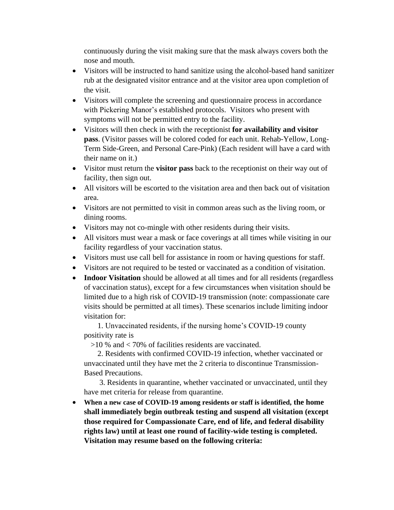continuously during the visit making sure that the mask always covers both the nose and mouth.

- Visitors will be instructed to hand sanitize using the alcohol-based hand sanitizer rub at the designated visitor entrance and at the visitor area upon completion of the visit.
- Visitors will complete the screening and questionnaire process in accordance with Pickering Manor's established protocols. Visitors who present with symptoms will not be permitted entry to the facility.
- Visitors will then check in with the receptionist **for availability and visitor pass**. (Visitor passes will be colored coded for each unit. Rehab-Yellow, Long-Term Side-Green, and Personal Care-Pink) (Each resident will have a card with their name on it.)
- Visitor must return the **visitor pass** back to the receptionist on their way out of facility, then sign out.
- All visitors will be escorted to the visitation area and then back out of visitation area.
- Visitors are not permitted to visit in common areas such as the living room, or dining rooms.
- Visitors may not co-mingle with other residents during their visits.
- All visitors must wear a mask or face coverings at all times while visiting in our facility regardless of your vaccination status.
- Visitors must use call bell for assistance in room or having questions for staff.
- Visitors are not required to be tested or vaccinated as a condition of visitation.
- **Indoor Visitation** should be allowed at all times and for all residents (regardless of vaccination status), except for a few circumstances when visitation should be limited due to a high risk of COVID-19 transmission (note: compassionate care visits should be permitted at all times). These scenarios include limiting indoor visitation for:

 1. Unvaccinated residents, if the nursing home's COVID-19 county positivity rate is

>10 % and < 70% of facilities residents are vaccinated.

 2. Residents with confirmed COVID-19 infection, whether vaccinated or unvaccinated until they have met the 2 criteria to discontinue Transmission-Based Precautions.

 3. Residents in quarantine, whether vaccinated or unvaccinated, until they have met criteria for release from quarantine.

• **When a new case of COVID-19 among residents or staff is identified, the home shall immediately begin outbreak testing and suspend all visitation (except those required for Compassionate Care, end of life, and federal disability rights law) until at least one round of facility-wide testing is completed. Visitation may resume based on the following criteria:**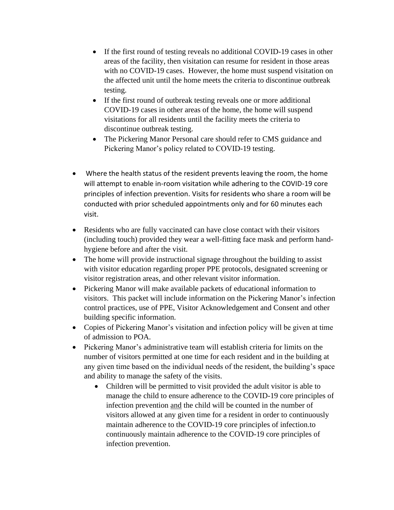- If the first round of testing reveals no additional COVID-19 cases in other areas of the facility, then visitation can resume for resident in those areas with no COVID-19 cases. However, the home must suspend visitation on the affected unit until the home meets the criteria to discontinue outbreak testing.
- If the first round of outbreak testing reveals one or more additional COVID-19 cases in other areas of the home, the home will suspend visitations for all residents until the facility meets the criteria to discontinue outbreak testing.
- The Pickering Manor Personal care should refer to CMS guidance and Pickering Manor's policy related to COVID-19 testing.
- Where the health status of the resident prevents leaving the room, the home will attempt to enable in-room visitation while adhering to the COVID-19 core principles of infection prevention. Visits for residents who share a room will be conducted with prior scheduled appointments only and for 60 minutes each visit.
- Residents who are fully vaccinated can have close contact with their visitors (including touch) provided they wear a well-fitting face mask and perform handhygiene before and after the visit.
- The home will provide instructional signage throughout the building to assist with visitor education regarding proper PPE protocols, designated screening or visitor registration areas, and other relevant visitor information.
- Pickering Manor will make available packets of educational information to visitors. This packet will include information on the Pickering Manor's infection control practices, use of PPE, Visitor Acknowledgement and Consent and other building specific information.
- Copies of Pickering Manor's visitation and infection policy will be given at time of admission to POA.
- Pickering Manor's administrative team will establish criteria for limits on the number of visitors permitted at one time for each resident and in the building at any given time based on the individual needs of the resident, the building's space and ability to manage the safety of the visits.
	- Children will be permitted to visit provided the adult visitor is able to manage the child to ensure adherence to the COVID-19 core principles of infection prevention and the child will be counted in the number of visitors allowed at any given time for a resident in order to continuously maintain adherence to the COVID-19 core principles of infection.to continuously maintain adherence to the COVID-19 core principles of infection prevention.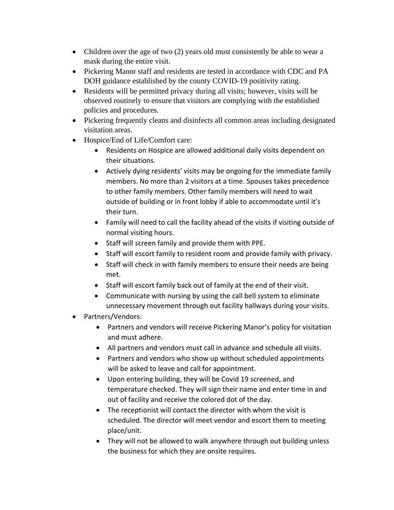- Children over the age of two (2) years old must consistently be able to wear a mask during the entire visit.
- Pickering Manor staff and residents are tested in accordance with CDC and PA DOH guidance established by the county COVID-19 positivity rating.
- Residents will be permitted privacy during all visits; however, visits will be observed routinely to ensure that visitors are complying with the established policies and procedures.
- Pickering frequently cleans and disinfects all common areas including designated visitation areas.
- Hospice/End of Life/Comfort care:
	- Residents on Hospice are allowed additional daily visits dependent on their situations.
	- Actively dying residents' visits may be ongoing for the immediate family members. No more than 2 visitors at a time. Spouses takes precedence to other family members. Other family members will need to wait outside of building or in front lobby if able to accommodate until it's their turn.
	- Family will need to call the facility ahead of the visits if visiting outside of normal visiting hours.
	- Staff will screen family and provide them with PPE.
	- Staff will escort family to resident room and provide family with privacy.
	- Staff will check in with family members to ensure their needs are being met.
	- Staff will escort family back out of family at the end of their visit.
	- Communicate with nursing by using the call bell system to eliminate unnecessary movement through out facility hallways during your visits.
- Partners/Vendors:
	- Partners and vendors will receive Pickering Manor's policy for visitation and must adhere.
	- All partners and vendors must call in advance and schedule all visits.
	- Partners and vendors who show up without scheduled appointments will be asked to leave and call for appointment.
	- Upon entering building, they will be Covid 19 screened, and temperature checked. They will sign their name and enter time in and out of facility and receive the colored dot of the day.
	- The receptionist will contact the director with whom the visit is scheduled. The director will meet vendor and escort them to meeting place/unit.
	- They will not be allowed to walk anywhere through out building unless the business for which they are onsite requires.